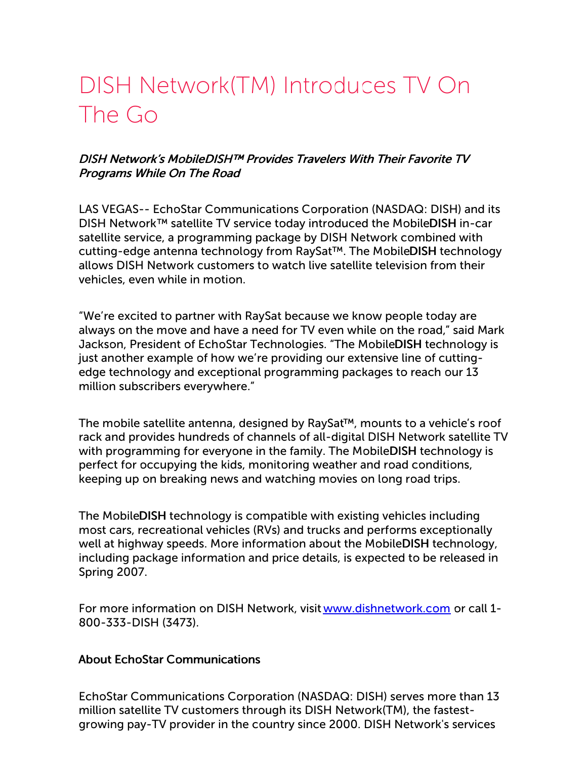# DISH Network(TM) Introduces TV On The Go

### DISH Network's MobileDISH™ Provides Travelers With Their Favorite TV Programs While On The Road

LAS VEGAS-- EchoStar Communications Corporation (NASDAQ: DISH) and its DISH Network™ satellite TV service today introduced the MobileDISH in-car satellite service, a programming package by DISH Network combined with cutting-edge antenna technology from RaySat™. The MobileDISH technology allows DISH Network customers to watch live satellite television from their vehicles, even while in motion.

"We're excited to partner with RaySat because we know people today are always on the move and have a need for TV even while on the road," said Mark Jackson, President of EchoStar Technologies. "The MobileDISH technology is just another example of how we're providing our extensive line of cuttingedge technology and exceptional programming packages to reach our 13 million subscribers everywhere."

The mobile satellite antenna, designed by RaySat™, mounts to a vehicle's roof rack and provides hundreds of channels of all-digital DISH Network satellite TV with programming for everyone in the family. The MobileDISH technology is perfect for occupying the kids, monitoring weather and road conditions, keeping up on breaking news and watching movies on long road trips.

The MobileDISH technology is compatible with existing vehicles including most cars, recreational vehicles (RVs) and trucks and performs exceptionally well at highway speeds. More information about the MobileDISH technology, including package information and price details, is expected to be released in Spring 2007.

For more information on DISH Network, visit [www.dishnetwork.com](http://www.dishnetwork.com/) or call 1- 800-333-DISH (3473).

#### About EchoStar Communications

EchoStar Communications Corporation (NASDAQ: DISH) serves more than 13 million satellite TV customers through its DISH Network(TM), the fastestgrowing pay-TV provider in the country since 2000. DISH Network's services